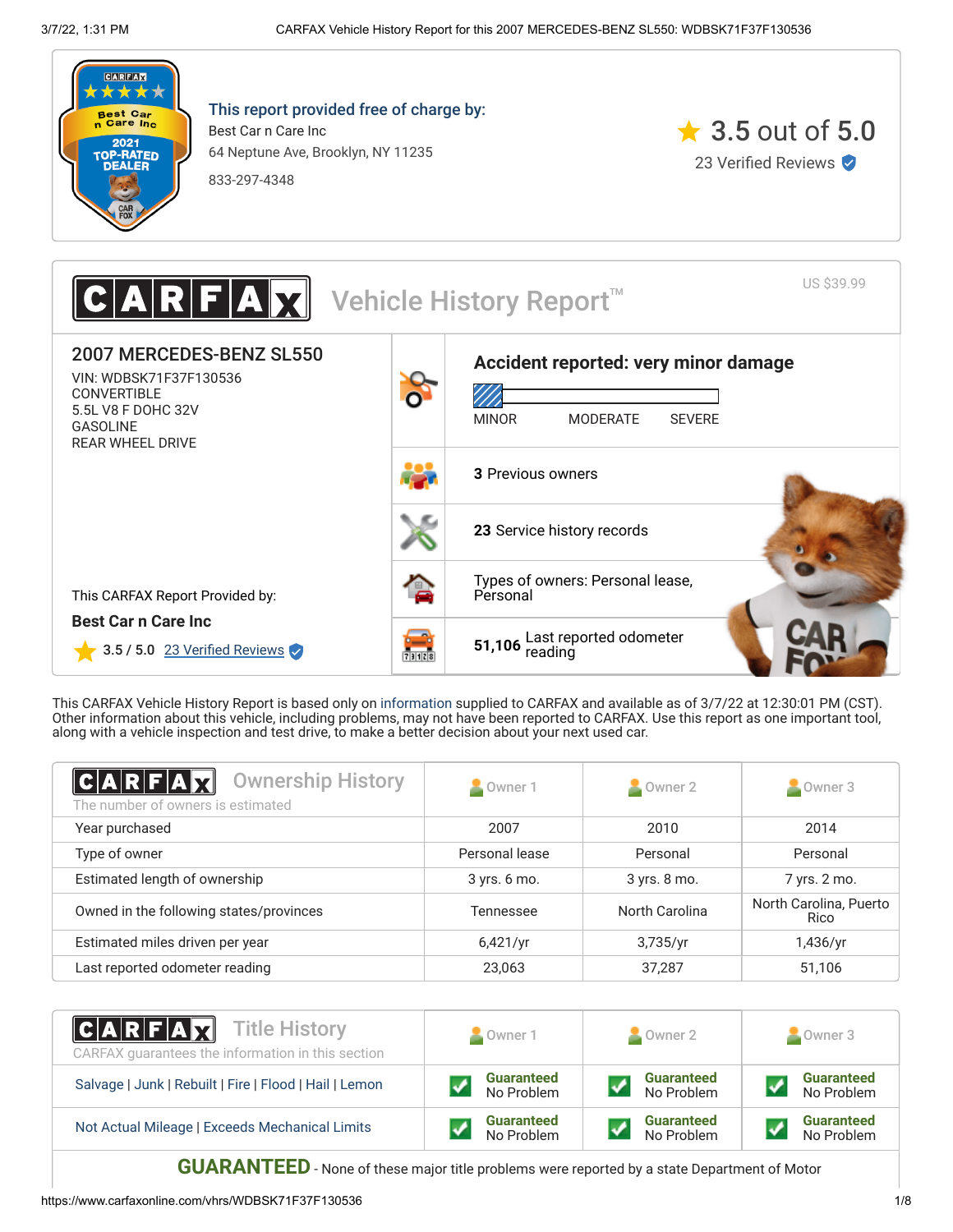

This report provided free of charge by: Best Car n Care Inc 64 Neptune Ave, Brooklyn, NY 11235

833-297-4348



US \$39.99 Vehicle History Report<sup>™</sup> 2007 MERCEDES-BENZ SL550 **[Accident reported: very minor damage](#page-1-0)** VIN: WDBSK71F37F130536 **CONVERTIBLE** 5.5L V8 F DOHC 32V MINOR MODERATE SEVERE GASOLINE REAR WHEEL DRIVE **3** [Previous owners](#page-0-0) **23** [Service history records](#page-1-1) [Types of owners: Personal lease,](#page-0-0) This CARFAX Report Provided by: Personal **Best Car n Care Inc 51,106** [Last reported odometer](#page-1-1)<br>reading  $3.5 / 5.0$  23 Verified Reviews 731128

This CARFAX Vehicle History Report is based only on [information](http://www.carfax.com/company/vhr-data-sources) supplied to CARFAX and available as of 3/7/22 at 12:30:01 PM (CST). Other information about this vehicle, including problems, may not have been reported to CARFAX. Use this report as one important tool, along with a vehicle inspection and test drive, to make a better decision about your next used car.

<span id="page-0-0"></span>

| $ C A R F A \chi $<br><b>Ownership History</b><br>The number of owners is estimated | Owner 1        | $\blacksquare$ Owner 2 | $\blacksquare$ Owner 3         |
|-------------------------------------------------------------------------------------|----------------|------------------------|--------------------------------|
| Year purchased                                                                      | 2007           | 2010                   | 2014                           |
| Type of owner                                                                       | Personal lease | Personal               | Personal                       |
| Estimated length of ownership                                                       | 3 yrs. 6 mo.   | 3 yrs. 8 mo.           | 7 yrs. 2 mo.                   |
| Owned in the following states/provinces                                             | Tennessee      | North Carolina         | North Carolina, Puerto<br>Rico |
| Estimated miles driven per year                                                     | 6,421/yr       | 3,735/yr               | 1,436/yr                       |
| Last reported odometer reading                                                      | 23,063         | 37.287                 | 51,106                         |

| <b>CARFAX</b> Title History<br>CARFAX guarantees the information in this section | Owner 1           | $\blacksquare$ Owner 2 | Owner 3           |
|----------------------------------------------------------------------------------|-------------------|------------------------|-------------------|
| Salvage   Junk   Rebuilt   Fire   Flood   Hail   Lemon                           | <b>Guaranteed</b> | <b>Guaranteed</b>      | <b>Guaranteed</b> |
|                                                                                  | No Problem        | No Problem             | No Problem        |
| Not Actual Mileage   Exceeds Mechanical Limits                                   | <b>Guaranteed</b> | <b>Guaranteed</b>      | <b>Guaranteed</b> |
|                                                                                  | No Problem        | No Problem             | No Problem        |

**GUARANTEED** - None of these major title problems were reported by a state Department of Motor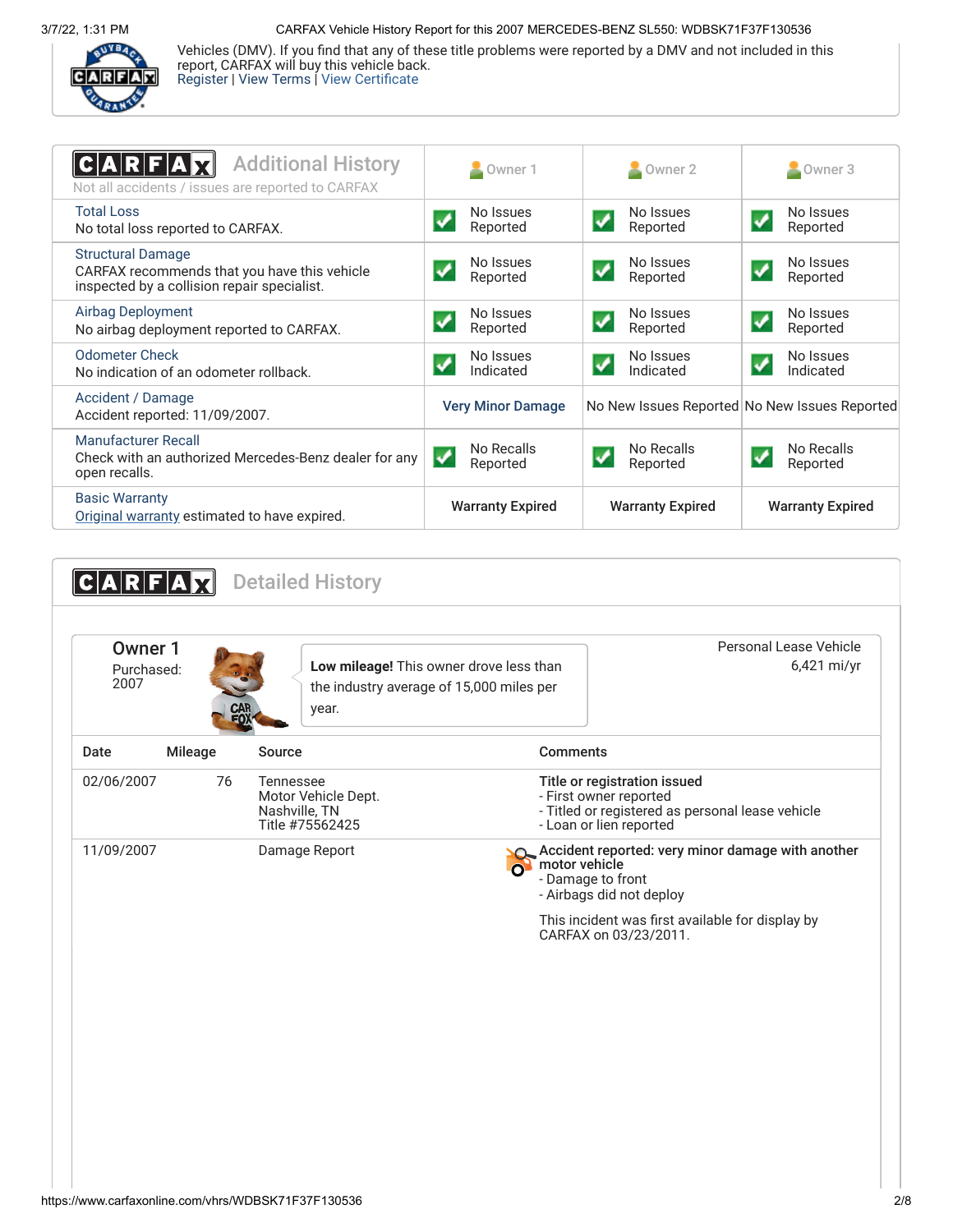3/7/22, 1:31 PM CARFAX Vehicle History Report for this 2007 MERCEDES-BENZ SL550: WDBSK71F37F130536



Vehicles (DMV). If you find that any of these title problems were reported by a DMV and not included in this report, CARFAX will buy this vehicle back. [Register](https://www.carfax.com/Service/bbg) | [View Terms](http://www.carfaxonline.com/legal/bbgTerms) | [View Certificate](https://www.carfaxonline.com/vhrs/WDBSK71F37F130536)

<span id="page-1-0"></span>

| <b>Additional History</b><br>Not all accidents / issues are reported to CARFAX                                          | Owner 1                     | $\blacksquare$ Owner 2                         | Owner 3                                       |
|-------------------------------------------------------------------------------------------------------------------------|-----------------------------|------------------------------------------------|-----------------------------------------------|
| <b>Total Loss</b><br>No total loss reported to CARFAX.                                                                  | No Issues<br>Reported       | No Issues<br>Reported                          | No Issues<br>Reported                         |
| <b>Structural Damage</b><br>CARFAX recommends that you have this vehicle<br>inspected by a collision repair specialist. | No Issues<br>Reported       | No Issues<br>Reported                          | No Issues<br>✔<br>Reported                    |
| Airbag Deployment<br>No airbag deployment reported to CARFAX.                                                           | No Issues<br>✔<br>Reported  | No Issues<br>$\checkmark$<br>Reported          | No Issues<br>↵<br>Reported                    |
| <b>Odometer Check</b><br>No indication of an odometer rollback.                                                         | No Issues<br>Indicated      | No Issues<br>$\blacktriangledown$<br>Indicated | No Issues<br>✓<br>Indicated                   |
| Accident / Damage<br>Accident reported: 11/09/2007.                                                                     | <b>Very Minor Damage</b>    |                                                | No New Issues Reported No New Issues Reported |
| Manufacturer Recall<br>Check with an authorized Mercedes-Benz dealer for any<br>open recalls.                           | No Recalls<br>✓<br>Reported | No Recalls<br>Reported                         | No Recalls<br>Reported                        |
| <b>Basic Warranty</b><br>Original warranty estimated to have expired.                                                   | <b>Warranty Expired</b>     | <b>Warranty Expired</b>                        | <b>Warranty Expired</b>                       |

<span id="page-1-2"></span><span id="page-1-1"></span>**CARFAX** Detailed History Owner 1 Purchased: 2007 **Low mileage!** This owner drove less than the industry average of 15,000 miles per year. Personal Lease Vehicle 6,421 mi/yr Date Mileage Source **Comments** 02/06/2007 76 Tennessee Motor Vehicle Dept. Nashville, TN Title #75562425 Title or registration issued - First owner reported - Titled or registered as personal lease vehicle - Loan or lien reported 11/09/2007 Damage Report **Accident report Accident reported: very minor damage with another O** motor vehicle - Damage to front - Airbags did not deploy This incident was first available for display by CARFAX on 03/23/2011.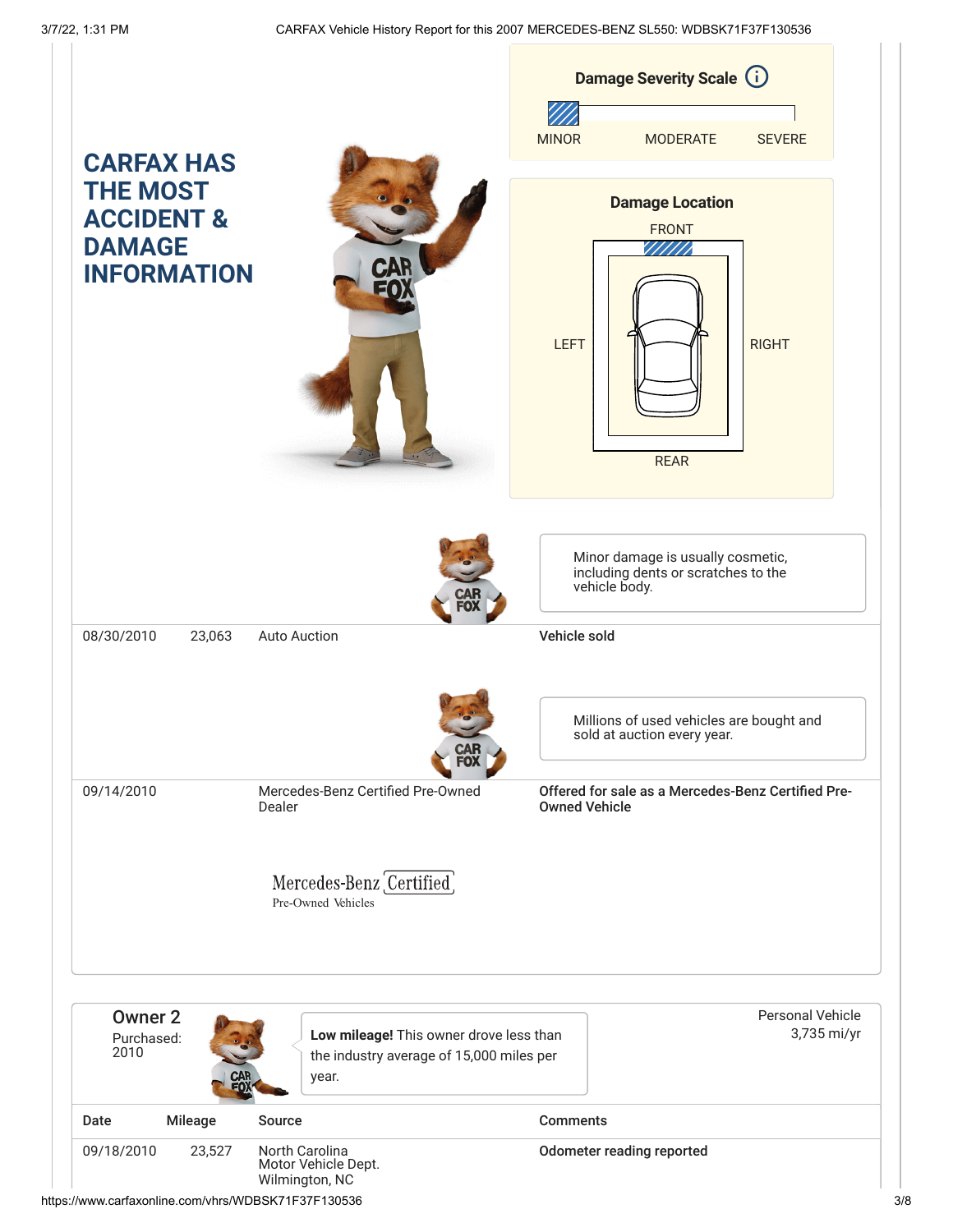|                                                                                                      |                |                                                                                     |                      | Damage Severity Scale (i)                                                                 |                                        |
|------------------------------------------------------------------------------------------------------|----------------|-------------------------------------------------------------------------------------|----------------------|-------------------------------------------------------------------------------------------|----------------------------------------|
|                                                                                                      |                |                                                                                     | <b>MINOR</b>         | <b>MODERATE</b>                                                                           | <b>SEVERE</b>                          |
| <b>CARFAX HAS</b><br><b>THE MOST</b><br><b>ACCIDENT &amp;</b><br><b>DAMAGE</b><br><b>INFORMATION</b> |                | <b>CAR</b>                                                                          | <b>LEFT</b>          | <b>Damage Location</b><br><b>FRONT</b><br><b>REAR</b>                                     | <b>RIGHT</b>                           |
| 08/30/2010                                                                                           | 23,063         | <b>Auto Auction</b>                                                                 | Vehicle sold         | Minor damage is usually cosmetic,<br>including dents or scratches to the<br>vehicle body. |                                        |
|                                                                                                      |                | EO)                                                                                 |                      | Millions of used vehicles are bought and<br>sold at auction every year.                   |                                        |
| 09/14/2010                                                                                           |                | Mercedes-Benz Certified Pre-Owned<br>Dealer                                         | <b>Owned Vehicle</b> | Offered for sale as a Mercedes-Benz Certified Pre-                                        |                                        |
|                                                                                                      |                | Mercedes-Benz Certified<br>Pre-Owned Vehicles                                       |                      |                                                                                           |                                        |
| <b>Owner 2</b><br>Purchased:<br>2010                                                                 |                | Low mileage! This owner drove less than<br>the industry average of 15,000 miles per |                      |                                                                                           | <b>Personal Vehicle</b><br>3,735 mi/yr |
|                                                                                                      | CAR<br>FOX     | year.                                                                               |                      |                                                                                           |                                        |
| Date                                                                                                 | <b>Mileage</b> | Source                                                                              | <b>Comments</b>      |                                                                                           |                                        |
| 09/18/2010                                                                                           | 23,527         | North Carolina<br>Motor Vehicle Dept.<br>Wilmington, NC                             |                      | Odometer reading reported                                                                 |                                        |

https://www.carfaxonline.com/vhrs/WDBSK71F37F130536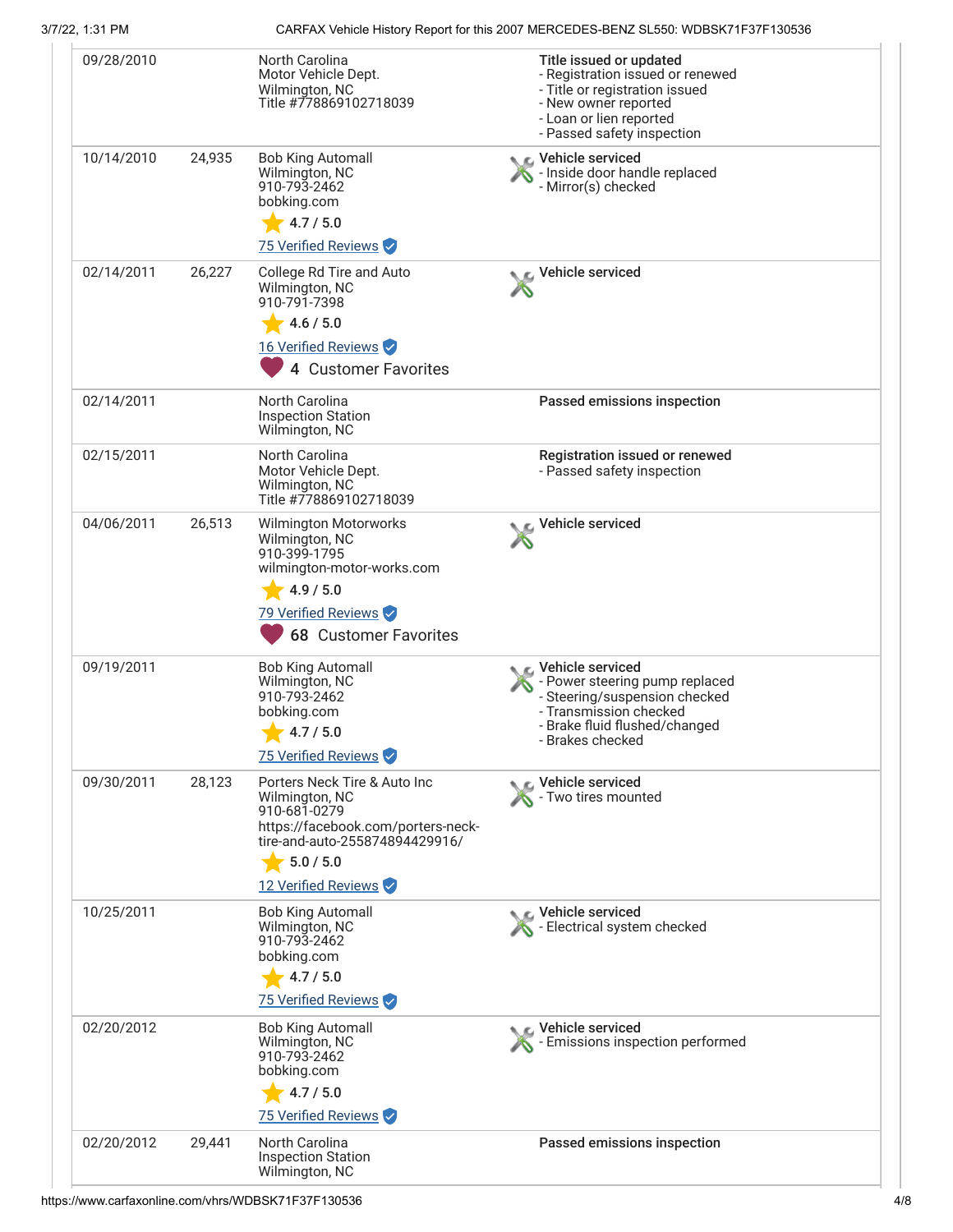# 3/7/22, 1:31 PM CARFAX Vehicle History Report for this 2007 MERCEDES-BENZ SL550: WDBSK71F37F130536

| 09/28/2010 |        | North Carolina<br>Motor Vehicle Dept.<br>Wilmington, NC<br>Title #778869102718039                                                                                                        | Title issued or updated<br>- Registration issued or renewed<br>- Title or registration issued<br>- New owner reported<br>- Loan or lien reported<br>- Passed safety inspection |
|------------|--------|------------------------------------------------------------------------------------------------------------------------------------------------------------------------------------------|--------------------------------------------------------------------------------------------------------------------------------------------------------------------------------|
| 10/14/2010 | 24,935 | <b>Bob King Automall</b><br>Wilmington, NC<br>910-793-2462<br>bobking.com<br>4.7 / 5.0<br>75 Verified Reviews                                                                            | ९ C Vehicle serviced<br>- Inside door handle replaced<br>- Mirror(s) checked                                                                                                   |
| 02/14/2011 | 26,227 | College Rd Tire and Auto<br>Wilmington, NC<br>910-791-7398<br>4.6 / 5.0<br>16 Verified Reviews<br>4 Customer Favorites                                                                   | Vehicle serviced                                                                                                                                                               |
| 02/14/2011 |        | <b>North Carolina</b><br><b>Inspection Station</b><br>Wilmington, NC                                                                                                                     | Passed emissions inspection                                                                                                                                                    |
| 02/15/2011 |        | North Carolina<br>Motor Vehicle Dept.<br>Wilmington, NC<br>Title #778869102718039                                                                                                        | Registration issued or renewed<br>- Passed safety inspection                                                                                                                   |
| 04/06/2011 | 26,513 | Wilmington Motorworks<br>Wilmington, NC<br>910-399-1795<br>wilmington-motor-works.com<br>4.9 / 5.0<br>79 Verified Reviews<br><b>68 Customer Favorites</b>                                | Vehicle serviced                                                                                                                                                               |
| 09/19/2011 |        | <b>Bob King Automall</b><br>Wilmington, NC<br>910-793-2462<br>bobking.com<br>4.7 / 5.0<br>75 Verified Reviews                                                                            | <b>C</b> Vehicle serviced<br>- Power steering pump replaced<br>- Steering/suspension checked<br>- Transmission checked<br>- Brake fluid flushed/changed<br>- Brakes checked    |
| 09/30/2011 | 28,123 | Porters Neck Tire & Auto Inc<br>Wilmington, NC<br>910-681-0279<br>https://facebook.com/porters-neck-<br>tire-and-auto-255874894429916/<br>$\frac{1}{2}$ 5.0 / 5.0<br>12 Verified Reviews | Vehicle serviced<br>- Two tires mounted                                                                                                                                        |
| 10/25/2011 |        | <b>Bob King Automall</b><br>Wilmington, NC<br>910-793-2462<br>bobking.com<br>4.7 / 5.0<br>75 Verified Reviews                                                                            | Vehicle serviced<br>- Electrical system checked                                                                                                                                |
| 02/20/2012 |        | <b>Bob King Automall</b><br>Wilmington, NC<br>910-793-2462<br>bobking.com<br>4.7 / 5.0<br>75 Verified Reviews                                                                            | Vehicle serviced<br>Femissions inspection performed                                                                                                                            |
| 02/20/2012 | 29,441 | North Carolina<br><b>Inspection Station</b><br>Wilmington, NC                                                                                                                            | Passed emissions inspection                                                                                                                                                    |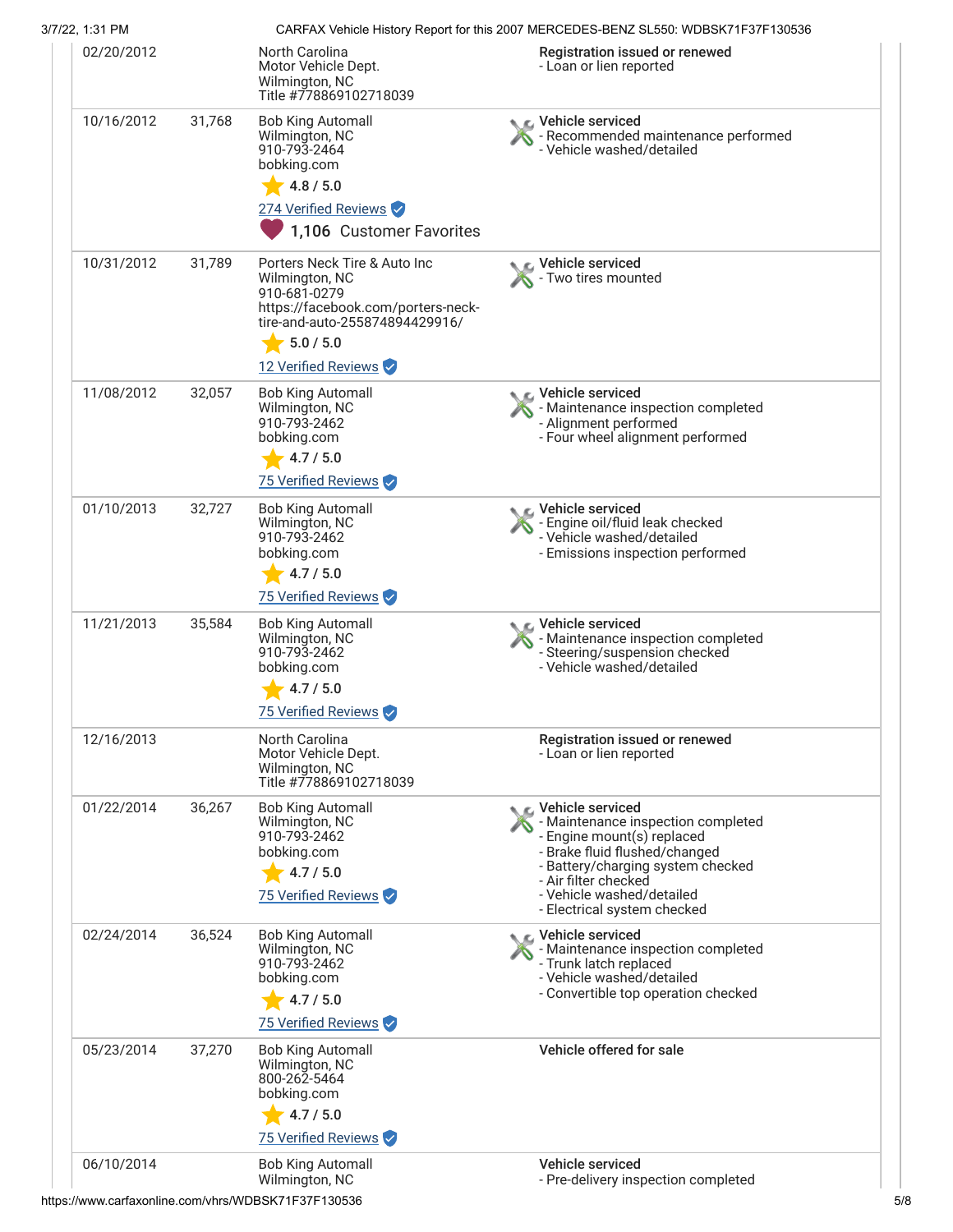| 3/7/22, 1:31 PM |        |                                                                                                                                                                                          | CARFAX Vehicle History Report for this 2007 MERCEDES-BENZ SL550: WDBSK71F37F130536                                                                                                                                                             |
|-----------------|--------|------------------------------------------------------------------------------------------------------------------------------------------------------------------------------------------|------------------------------------------------------------------------------------------------------------------------------------------------------------------------------------------------------------------------------------------------|
| 02/20/2012      |        | North Carolina<br>Motor Vehicle Dept.<br>Wilmington, NC<br>Title #778869102718039                                                                                                        | Registration issued or renewed<br>- Loan or lien reported                                                                                                                                                                                      |
| 10/16/2012      | 31,768 | <b>Bob King Automall</b><br>Wilmington, NC<br>910-793-2464<br>bobking.com<br>4.8 / 5.0<br>274 Verified Reviews<br>1,106 Customer Favorites                                               | C Vehicle serviced<br>- Recommended maintenance performed<br>- Vehicle washed/detailed                                                                                                                                                         |
| 10/31/2012      | 31,789 | Porters Neck Tire & Auto Inc<br>Wilmington, NC<br>910-681-0279<br>https://facebook.com/porters-neck-<br>tire-and-auto-255874894429916/<br>$\frac{1}{2}$ 5.0 / 5.0<br>12 Verified Reviews | Vehicle serviced<br>Two tires mounted                                                                                                                                                                                                          |
| 11/08/2012      | 32,057 | <b>Bob King Automall</b><br>Wilmington, NC<br>910-793-2462<br>bobking.com<br>4.7 / 5.0<br>75 Verified Reviews                                                                            | C Vehicle serviced<br>- Maintenance inspection completed<br>- Alignment performed<br>- Four wheel alignment performed                                                                                                                          |
| 01/10/2013      | 32,727 | <b>Bob King Automall</b><br>Wilmington, NC<br>910-793-2462<br>bobking.com<br>$-4.7/5.0$<br>75 Verified Reviews                                                                           | Vehicle serviced<br>- Engine oil/fluid leak checked<br>- Vehicle washed/detailed<br>- Emissions inspection performed                                                                                                                           |
| 11/21/2013      | 35,584 | <b>Bob King Automall</b><br>Wilmington, NC<br>910-793-2462<br>bobking.com<br>4.7 / 5.0<br>75 Verified Reviews                                                                            | Vehicle serviced<br>- Maintenance inspection completed<br>- Steering/suspension checked<br>- Vehicle washed/detailed                                                                                                                           |
| 12/16/2013      |        | North Carolina<br>Motor Vehicle Dept.<br>Wilmington, NC<br>Title #778869102718039                                                                                                        | Registration issued or renewed<br>- Loan or lien reported                                                                                                                                                                                      |
| 01/22/2014      | 36,267 | <b>Bob King Automall</b><br>Wilmington, NC<br>910-793-2462<br>bobking.com<br>4.7 / 5.0<br>75 Verified Reviews                                                                            | Vehicle serviced<br>- Maintenance inspection completed<br>- Engine mount(s) replaced<br>- Brake fluid flushed/changed<br>- Battery/charging system checked<br>- Air filter checked<br>- Vehicle washed/detailed<br>- Electrical system checked |
| 02/24/2014      | 36,524 | <b>Bob King Automall</b><br>Wilmington, NC<br>910-793-2462<br>bobking.com<br>4.7 / 5.0<br>75 Verified Reviews                                                                            | C Vehicle serviced<br>- Maintenance inspection completed<br>- Trunk latch replaced<br>- Vehicle washed/detailed<br>- Convertible top operation checked                                                                                         |
| 05/23/2014      | 37,270 | <b>Bob King Automall</b><br>Wilmington, NC<br>800-262-5464<br>bobking.com<br>4.7 / 5.0<br>75 Verified Reviews                                                                            | Vehicle offered for sale                                                                                                                                                                                                                       |
| 06/10/2014      |        | <b>Bob King Automall</b><br>Wilmington, NC                                                                                                                                               | Vehicle serviced<br>- Pre-delivery inspection completed                                                                                                                                                                                        |

https://www.carfaxonline.com/vhrs/WDBSK71F37F130536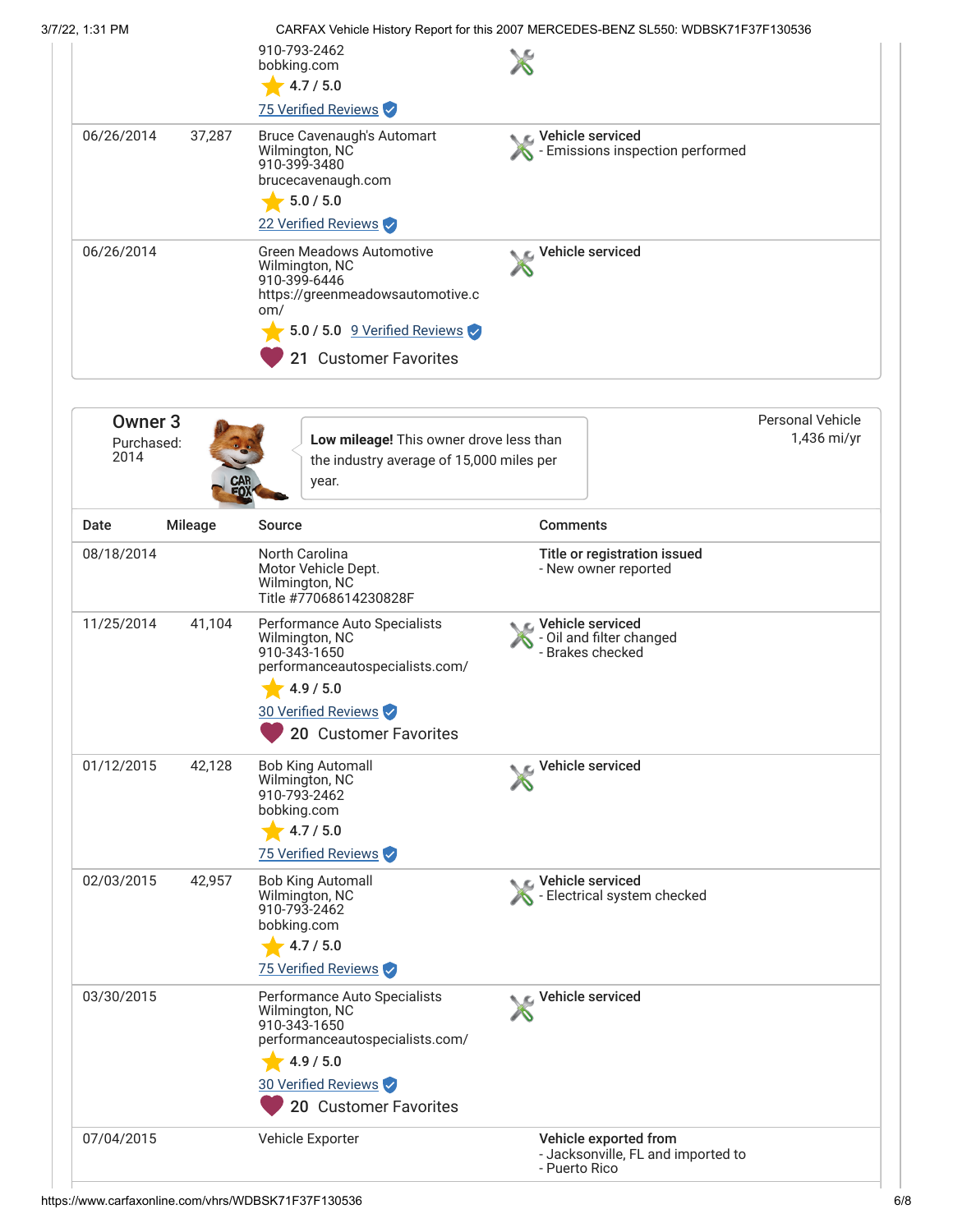| 3/7/22, 1:31 PM |            |        | CARFAX Vehicle History Report for this 2007 MERCEDES-BENZ SL550: WDBSK71F37F130536                                                                                        |                                                    |  |
|-----------------|------------|--------|---------------------------------------------------------------------------------------------------------------------------------------------------------------------------|----------------------------------------------------|--|
|                 |            |        | 910-793-2462<br>bobking.com<br>4.7 / 5.0<br>75 Verified Reviews                                                                                                           |                                                    |  |
|                 | 06/26/2014 | 37,287 | <b>Bruce Cavenaugh's Automart</b><br>Wilmington, NC<br>910-399-3480<br>brucecavenaugh.com<br>5.0 / 5.0<br>22 Verified Reviews                                             | Vehicle serviced<br>Emissions inspection performed |  |
|                 | 06/26/2014 |        | <b>Green Meadows Automotive</b><br>Wilmington, NC<br>910-399-6446<br>https://greenmeadowsautomotive.c<br>om/<br>5.0 / 5.0 9 Verified Reviews<br><b>Customer Favorites</b> | C Vehicle serviced                                 |  |

| Owner <sub>3</sub><br>Purchased:<br>2014 |         | Low mileage! This owner drove less than<br>the industry average of 15,000 miles per<br>year.                                                                   |                                                                              | <b>Personal Vehicle</b><br>1,436 mi/yr |
|------------------------------------------|---------|----------------------------------------------------------------------------------------------------------------------------------------------------------------|------------------------------------------------------------------------------|----------------------------------------|
| Date                                     | Mileage | <b>Source</b>                                                                                                                                                  | <b>Comments</b>                                                              |                                        |
| 08/18/2014                               |         | North Carolina<br>Motor Vehicle Dept.<br>Wilmington, NC<br>Title #77068614230828F                                                                              | Title or registration issued<br>- New owner reported                         |                                        |
| 11/25/2014                               | 41,104  | Performance Auto Specialists<br>Wilmington, NC<br>910-343-1650<br>performanceautospecialists.com/<br>4.9 / 5.0<br>30 Verified Reviews<br>20 Customer Favorites | Vehicle serviced<br>S - Oil and filter changed<br>- Brakes checked           |                                        |
| 01/12/2015                               | 42,128  | <b>Bob King Automall</b><br>Wilmington, NC<br>910-793-2462<br>bobking.com<br>4.7 / 5.0<br>75 Verified Reviews                                                  | Vehicle serviced                                                             |                                        |
| 02/03/2015                               | 42,957  | <b>Bob King Automall</b><br>Wilmington, NC<br>910-793-2462<br>bobking.com<br>4.7 / 5.0<br>75 Verified Reviews                                                  | Vehicle serviced<br>- Electrical system checked                              |                                        |
| 03/30/2015                               |         | Performance Auto Specialists<br>Wilmington, NC<br>910-343-1650<br>performanceautospecialists.com/<br>4.9 / 5.0<br>30 Verified Reviews<br>20 Customer Favorites | Vehicle serviced                                                             |                                        |
| 07/04/2015                               |         | Vehicle Exporter                                                                                                                                               | Vehicle exported from<br>- Jacksonville, FL and imported to<br>- Puerto Rico |                                        |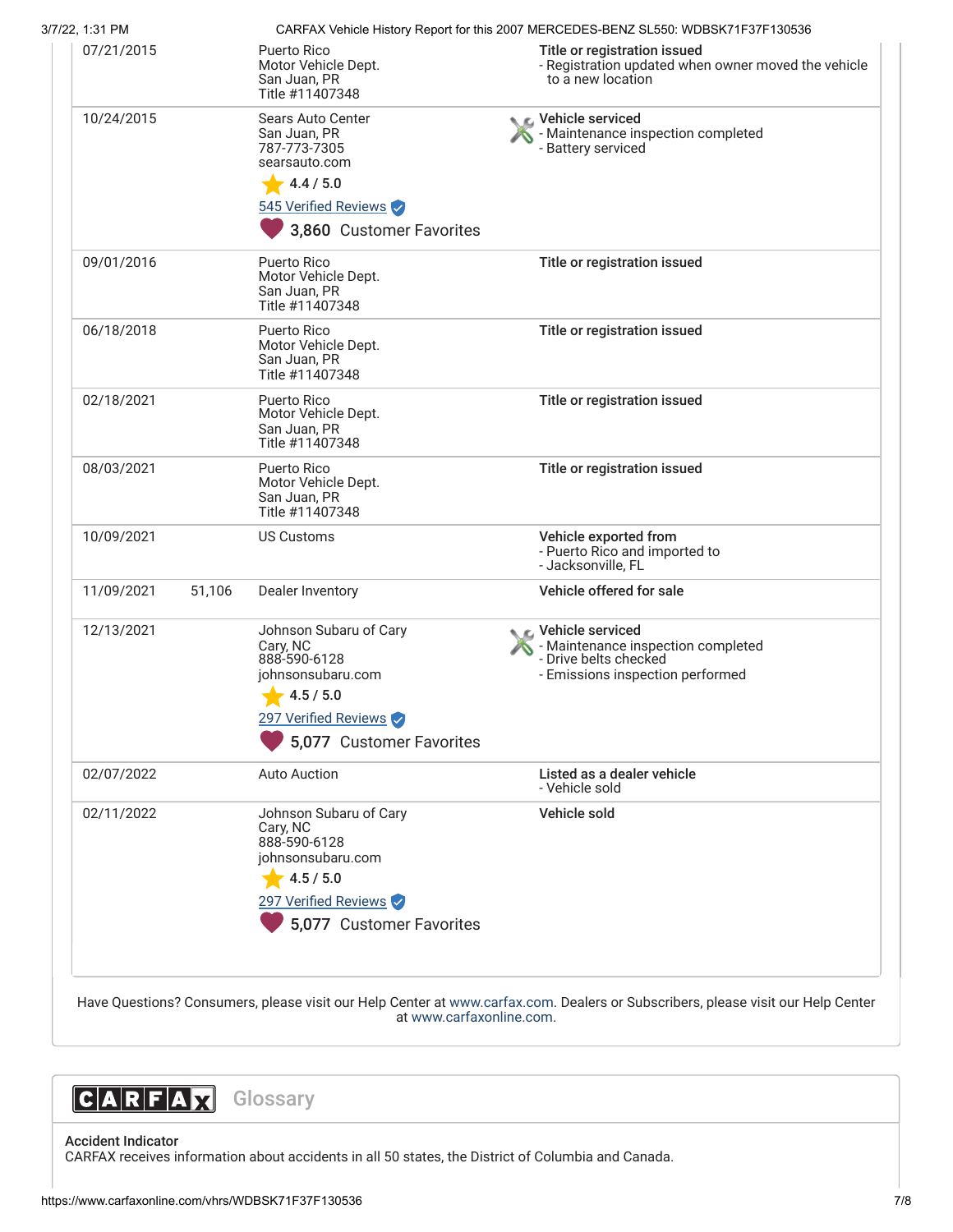| 3/7/22, 1:31 PM |        |                                                                                      | CARFAX Vehicle History Report for this 2007 MERCEDES-BENZ SL550: WDBSK71F37F130536                                    |
|-----------------|--------|--------------------------------------------------------------------------------------|-----------------------------------------------------------------------------------------------------------------------|
| 07/21/2015      |        | <b>Puerto Rico</b><br>Motor Vehicle Dept.<br>San Juan, PR<br>Title #11407348         | Title or registration issued<br>- Registration updated when owner moved the vehicle<br>to a new location              |
| 10/24/2015      |        | Sears Auto Center<br>San Juan, PR<br>787-773-7305<br>searsauto.com                   | C Vehicle serviced<br>- Maintenance inspection completed<br>- Battery serviced                                        |
|                 |        | 4.4 / 5.0                                                                            |                                                                                                                       |
|                 |        | 545 Verified Reviews                                                                 |                                                                                                                       |
|                 |        | 3,860 Customer Favorites                                                             |                                                                                                                       |
| 09/01/2016      |        | Puerto Rico<br>Motor Vehicle Dept.<br>San Juan, PR<br>Title #11407348                | Title or registration issued                                                                                          |
| 06/18/2018      |        | Puerto Rico<br>Motor Vehicle Dept.<br>San Juan, PR<br>Title #11407348                | Title or registration issued                                                                                          |
| 02/18/2021      |        | Puerto Rico<br>Motor Vehicle Dept.<br>San Juan, PR<br>Title #11407348                | Title or registration issued                                                                                          |
| 08/03/2021      |        | Puerto Rico<br>Motor Vehicle Dept.<br>San Juan, PR<br>Title #11407348                | Title or registration issued                                                                                          |
| 10/09/2021      |        | <b>US Customs</b>                                                                    | Vehicle exported from<br>- Puerto Rico and imported to<br>- Jacksonville, FL                                          |
| 11/09/2021      | 51,106 | Dealer Inventory                                                                     | Vehicle offered for sale                                                                                              |
| 12/13/2021      |        | Johnson Subaru of Cary<br>Cary, NC<br>888-590-6128<br>johnsonsubaru.com<br>4.5 / 5.0 | C Vehicle serviced<br>- Maintenance inspection completed<br>- Drive belts checked<br>- Emissions inspection performed |
|                 |        | 297 Verified Reviews                                                                 |                                                                                                                       |
|                 |        | 5,077 Customer Favorites                                                             |                                                                                                                       |
| 02/07/2022      |        | <b>Auto Auction</b>                                                                  | Listed as a dealer vehicle<br>- Vehicle sold                                                                          |
| 02/11/2022      |        | Johnson Subaru of Cary<br>Cary, NC<br>888-590-6128<br>johnsonsubaru.com              | Vehicle sold                                                                                                          |
|                 |        | 4.5 / 5.0                                                                            |                                                                                                                       |
|                 |        | 297 Verified Reviews                                                                 |                                                                                                                       |
|                 |        | 5,077 Customer Favorites                                                             |                                                                                                                       |
|                 |        |                                                                                      |                                                                                                                       |



Accident Indicator CARFAX receives information about accidents in all 50 states, the District of Columbia and Canada.